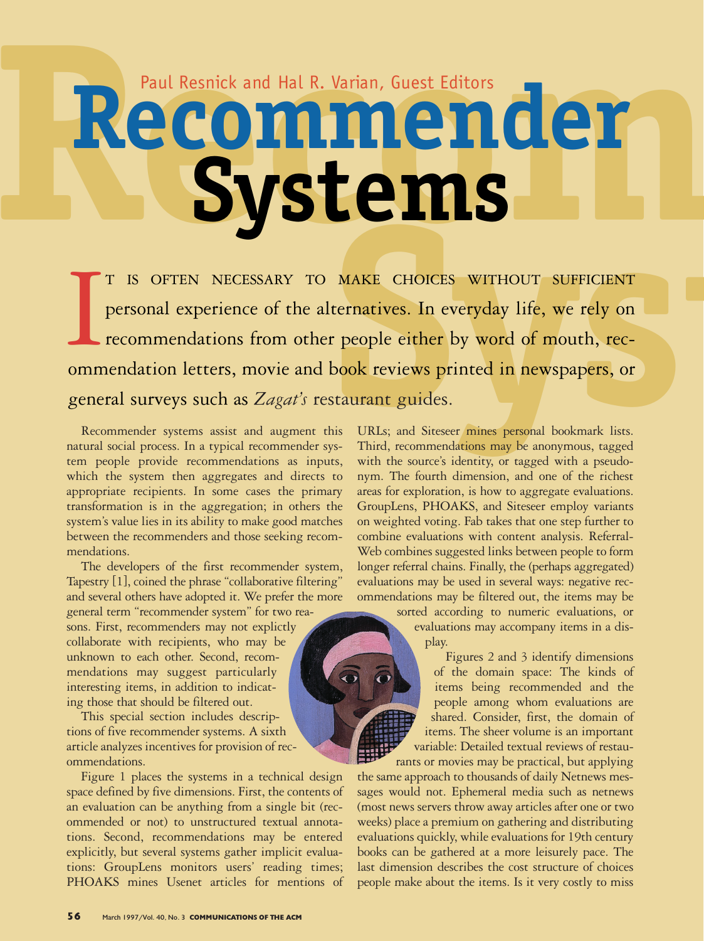## **Recomments** Recommender R. Varian, Guest Editors<br>Recommended **Systems** Paul Resnick and Hal R. Varian, Guest Editors

MAKE CHOICES WITHOUT SUFFICIENT<br>ternatives. In everyday life, we rely on<br>r people either by word of mouth, rec-<br>book reviews printed in newspapers, or<br>staurant guides.<br>wis- Third, recommendations may be anonymous, tagged I T IS OFTEN NECESSARY TO MAKE CHOICES WITHOUT SUFFICIENT personal experience of the alternatives. In everyday life, we rely on recommendations from other people either by word of mouth, recommendation letters, movie and b T IS OFTEN NECESSARY TO MAKE CHOICES WITHOUT SUFFICIENT personal experience of the alternatives. In everyday life, we rely on recommendations from other people either by word of mouth, recgeneral surveys such as *Zagat's* restaurant guides.

Recommender systems assist and augment this natural social process. In a typical recommender system people provide recommendations as inputs, which the system then aggregates and directs to appropriate recipients. In some cases the primary transformation is in the aggregation; in others the system's value lies in its ability to make good matches between the recommenders and those seeking recommendations.

The developers of the first recommender system, Tapestry [1], coined the phrase "collaborative filtering" and several others have adopted it. We prefer the more general term "recommender system" for two reasons. First, recommenders may not explictly collaborate with recipients, who may be unknown to each other. Second, recommendations may suggest particularly interesting items, in addition to indicating those that should be filtered out.

This special section includes descriptions of five recommender systems. A sixth article analyzes incentives for provision of recommendations.

Figure 1 places the systems in a technical design space defined by five dimensions. First, the contents of an evaluation can be anything from a single bit (recommended or not) to unstructured textual annotations. Second, recommendations may be entered explicitly, but several systems gather implicit evaluations: GroupLens monitors users' reading times; PHOAKS mines Usenet articles for mentions of

URLs; and Siteseer mines personal bookmark lists. Third, recommendations may be anonymous, tagged with the source's identity, or tagged with a pseudonym. The fourth dimension, and one of the richest areas for exploration, is how to aggregate evaluations. GroupLens, PHOAKS, and Siteseer employ variants on weighted voting. Fab takes that one step further to combine evaluations with content analysis. Referral-Web combines suggested links between people to form longer referral chains. Finally, the (perhaps aggregated) evaluations may be used in several ways: negative recommendations may be filtered out, the items may be

> sorted according to numeric evaluations, or evaluations may accompany items in a display.

> Figures 2 and 3 identify dimensions of the domain space: The kinds of items being recommended and the people among whom evaluations are shared. Consider, first, the domain of items. The sheer volume is an important variable: Detailed textual reviews of restaurants or movies may be practical, but applying

the same approach to thousands of daily Netnews messages would not. Ephemeral media such as netnews (most news servers throw away articles after one or two weeks) place a premium on gathering and distributing evaluations quickly, while evaluations for 19th century books can be gathered at a more leisurely pace. The last dimension describes the cost structure of choices people make about the items. Is it very costly to miss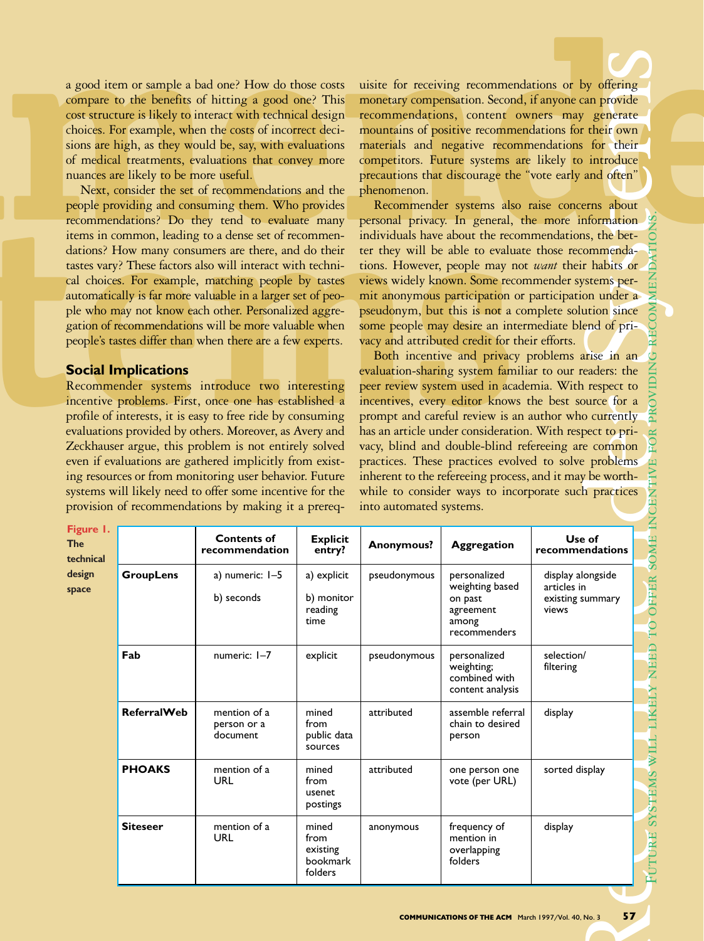a good item or sample a bad one? How do those costs compare to the benefits of hitting a good one? This cost structure is likely to interact with technical design choices. For example, when the costs of incorrect decisions are high, as they would be, say, with evaluations of medical treatments, evaluations that convey more nuances are likely to be more useful.

people providing and consuming them. Wo provides the commendations? Do they tend to evaluate many personal privacy. In general, items in common, leading to a dense set of recommendations? How many consumers are there, and Next, consider the set of recommendations and the people providing and consuming them. Who provides recommendations? Do they tend to evaluate many items in common, leading to a dense set of recommendations? How many consumers are there, and do their tastes vary? These factors also will interact with technical choices. For example, matching people by tastes automatically is far more valuable in a larger set of people who may not know each other. Personalized aggregation of recommendations will be more valuable when people's tastes differ than when there are a few experts.

## **Social Implications**

Recommender systems introduce two interesting incentive problems. First, once one has established a profile of interests, it is easy to free ride by consuming evaluations provided by others. Moreover, as Avery and Zeckhauser argue, this problem is not entirely solved even if evaluations are gathered implicitly from existing resources or from monitoring user behavior. Future systems will likely need to offer some incentive for the provision of recommendations by making it a prereq-

a good item or sample a bad one? How do those costs<br>
usite for receiving recommendations or by offering<br>
compare to the benefits of hitting a good one? This monetary compensation. Second, if anyone can provide<br>
cost struct precautions that discourage the "vote early and often" phenomenon. uisite for receiving recommendations or by offering<br>monetary compensation. Second, if anyone can provide<br>recommendations, content owners may generate<br>mountains of positive recommendations for their<br>materials and negative r  $\mathcal{S}$ uisite for receiving recommendations or by offering monetary compensation. Second, if anyone can provide recommendations, content owners may generate mountains of positive recommendations for their own competitors. Future systems are likely to introduce phenomenon.

ommenda-<br>
rhabits or<br>
stems per-<br>
stems per-<br>
antion since<br>
and of pri-<br>
rise in an tecommenter systems also have concerns about<br>personal privacy. In general, the more information Recommender systems also raise concerns about individuals have about the recommendations, the better they will be able to evaluate those recommendations. However, people may not *want* their habits or views widely known. Some recommender systems permit anonymous participation or participation under a pseudonym, but this is not a complete solution since some people may desire an intermediate blend of privacy and attributed credit for their efforts.

eaders: the<br>
respect to<br>
burce for a<br>
o currently<br>
pect to pri-<br>
e common<br>
problems<br>
problems<br>
problems<br>
problems<br>
problems<br>
problems<br>
e of<br>
e of<br>
problems<br>
problems<br>
e of Both incentive and privacy problems arise in an evaluation-sharing system familiar to our readers: the peer review system used in academia. With respect to incentives, every editor knows the best source for a prompt and careful review is an author who currently has an article under consideration. With respect to privacy, blind and double-blind refereeing are common practices. These practices evolved to solve problems inherent to the refereeing process, and it may be worthwhile to consider ways to incorporate such practices into automated systems.

| Figure 1.<br><b>The</b><br>technical |                     | <b>Contents of</b><br>recommendation    | <b>Explicit</b><br>entry?                        | Anonymous?   | <b>Aggregation</b>                                                               | Use of<br>recommendations                                     |
|--------------------------------------|---------------------|-----------------------------------------|--------------------------------------------------|--------------|----------------------------------------------------------------------------------|---------------------------------------------------------------|
| design<br>space                      | <b>GroupLens</b>    | a) numeric: I-5<br>b) seconds           | a) explicit<br>b) monitor<br>reading<br>time     | pseudonymous | personalized<br>weighting based<br>on past<br>agreement<br>among<br>recommenders | display alongside<br>articles in<br>existing summary<br>views |
|                                      | Fab                 | numeric: I-7                            | explicit                                         | pseudonymous | personalized<br>weighting;<br>combined with<br>content analysis                  | selection/<br>filtering                                       |
|                                      | <b>Referral Web</b> | mention of a<br>person or a<br>document | mined<br>from<br>public data<br>sources          | attributed   | assemble referral<br>chain to desired<br>person                                  | display                                                       |
|                                      | <b>PHOAKS</b>       | mention of a<br>URL                     | mined<br>from<br>usenet<br>postings              | attributed   | one person one<br>vote (per URL)                                                 | sorted display                                                |
|                                      | <b>Siteseer</b>     | mention of a<br>URL                     | mined<br>from<br>existing<br>bookmark<br>folders | anonymous    | frequency of<br>mention in<br>overlapping<br>folders                             | display                                                       |